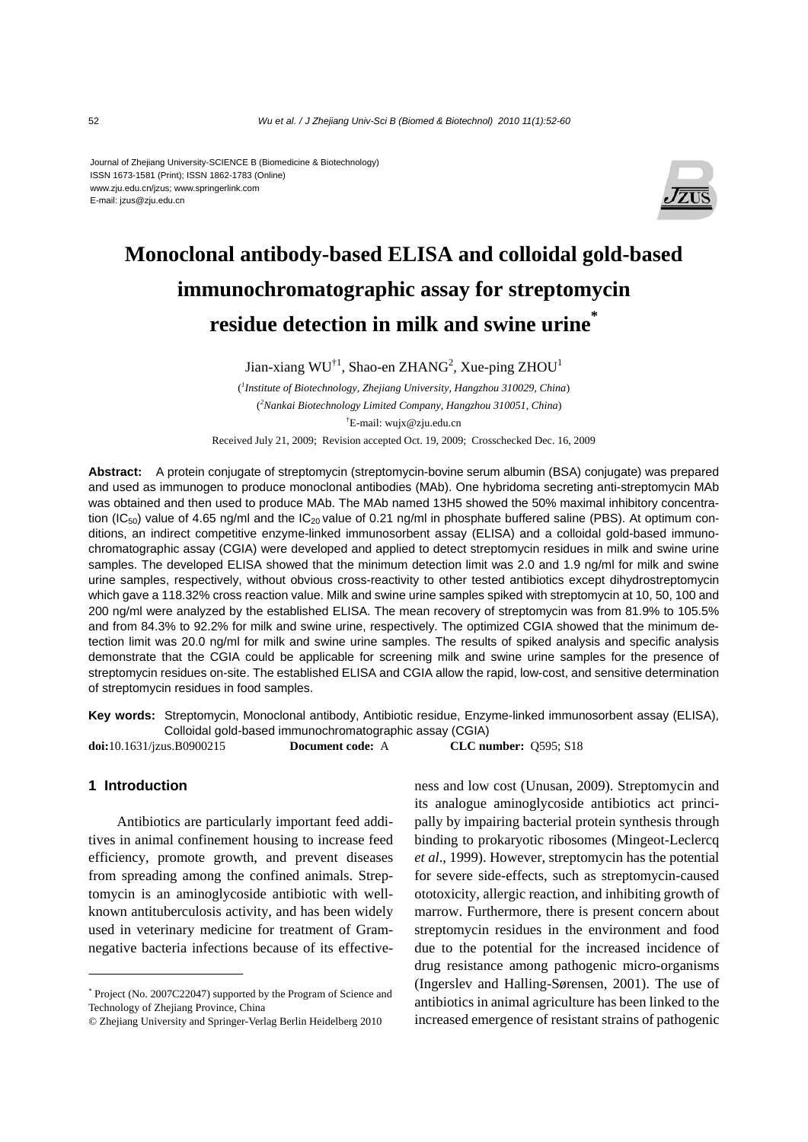#### Journal of Zhejiang University-SCIENCE B (Biomedicine & Biotechnology) ISSN 1673-1581 (Print); ISSN 1862-1783 (Online) www.zju.edu.cn/jzus; www.springerlink.com E-mail: jzus@zju.edu.cn



# **Monoclonal antibody-based ELISA and colloidal gold-based immunochromatographic assay for streptomycin residue detection in milk and swine urine\***

Jian-xiang  $WU^{\dagger 1}$ , Shao-en ZHANG<sup>2</sup>, Xue-ping ZHOU<sup>1</sup>

( *1 Institute of Biotechnology, Zhejiang University, Hangzhou 310029, China*) ( *2 Nankai Biotechnology Limited Company, Hangzhou 310051, China*) † E-mail: wujx@zju.edu.cn

Received July 21, 2009; Revision accepted Oct. 19, 2009; Crosschecked Dec. 16, 2009

**Abstract:** A protein conjugate of streptomycin (streptomycin-bovine serum albumin (BSA) conjugate) was prepared and used as immunogen to produce monoclonal antibodies (MAb). One hybridoma secreting anti-streptomycin MAb was obtained and then used to produce MAb. The MAb named 13H5 showed the 50% maximal inhibitory concentration (IC<sub>50</sub>) value of 4.65 ng/ml and the IC<sub>20</sub> value of 0.21 ng/ml in phosphate buffered saline (PBS). At optimum conditions, an indirect competitive enzyme-linked immunosorbent assay (ELISA) and a colloidal gold-based immunochromatographic assay (CGIA) were developed and applied to detect streptomycin residues in milk and swine urine samples. The developed ELISA showed that the minimum detection limit was 2.0 and 1.9 ng/ml for milk and swine urine samples, respectively, without obvious cross-reactivity to other tested antibiotics except dihydrostreptomycin which gave a 118.32% cross reaction value. Milk and swine urine samples spiked with streptomycin at 10, 50, 100 and 200 ng/ml were analyzed by the established ELISA. The mean recovery of streptomycin was from 81.9% to 105.5% and from 84.3% to 92.2% for milk and swine urine, respectively. The optimized CGIA showed that the minimum detection limit was 20.0 ng/ml for milk and swine urine samples. The results of spiked analysis and specific analysis demonstrate that the CGIA could be applicable for screening milk and swine urine samples for the presence of streptomycin residues on-site. The established ELISA and CGIA allow the rapid, low-cost, and sensitive determination of streptomycin residues in food samples.

**Key words:** Streptomycin, Monoclonal antibody, Antibiotic residue, Enzyme-linked immunosorbent assay (ELISA), Colloidal gold-based immunochromatographic assay (CGIA)

**doi:**10.1631/jzus.B0900215 **Document code:** A **CLC number:** Q595; S18

# **1 Introduction**

Antibiotics are particularly important feed additives in animal confinement housing to increase feed efficiency, promote growth, and prevent diseases from spreading among the confined animals. Streptomycin is an aminoglycoside antibiotic with wellknown antituberculosis activity, and has been widely used in veterinary medicine for treatment of Gramnegative bacteria infections because of its effectiveness and low cost (Unusan, 2009). Streptomycin and its analogue aminoglycoside antibiotics act principally by impairing bacterial protein synthesis through binding to prokaryotic ribosomes (Mingeot-Leclercq *et al*., 1999). However, streptomycin has the potential for severe side-effects, such as streptomycin-caused ototoxicity, allergic reaction, and inhibiting growth of marrow. Furthermore, there is present concern about streptomycin residues in the environment and food due to the potential for the increased incidence of drug resistance among pathogenic micro-organisms (Ingerslev and Halling-Sørensen, 2001). The use of antibiotics in animal agriculture has been linked to the increased emergence of resistant strains of pathogenic

<sup>\*</sup> Project (No. 2007C22047) supported by the Program of Science and Technology of Zhejiang Province, China

<sup>©</sup> Zhejiang University and Springer-Verlag Berlin Heidelberg 2010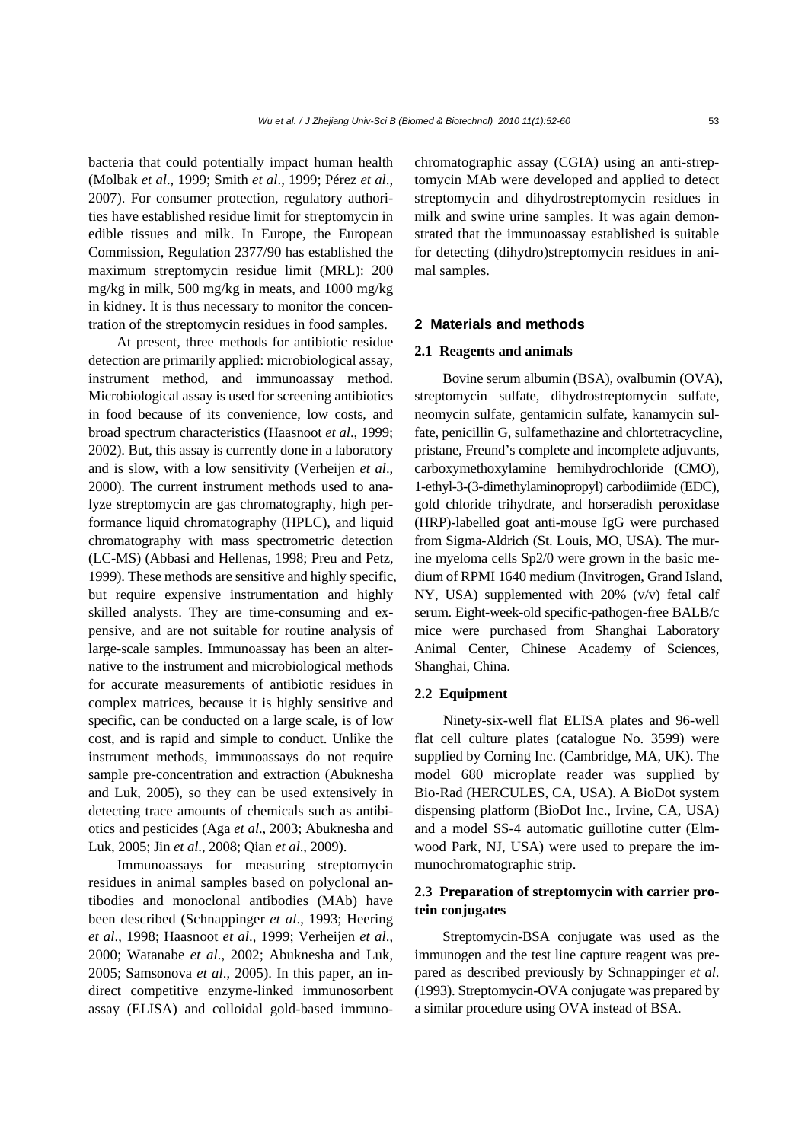bacteria that could potentially impact human health (Molbak *et al*., 1999; Smith *et al*., 1999; Pérez *et al*., 2007). For consumer protection, regulatory authorities have established residue limit for streptomycin in edible tissues and milk. In Europe, the European Commission, Regulation 2377/90 has established the maximum streptomycin residue limit (MRL): 200 mg/kg in milk, 500 mg/kg in meats, and 1000 mg/kg in kidney. It is thus necessary to monitor the concentration of the streptomycin residues in food samples.

At present, three methods for antibiotic residue detection are primarily applied: microbiological assay, instrument method, and immunoassay method. Microbiological assay is used for screening antibiotics in food because of its convenience, low costs, and broad spectrum characteristics (Haasnoot *et al*., 1999; 2002). But, this assay is currently done in a laboratory and is slow, with a low sensitivity (Verheijen *et al*., 2000). The current instrument methods used to analyze streptomycin are gas chromatography, high performance liquid chromatography (HPLC), and liquid chromatography with mass spectrometric detection (LC-MS) (Abbasi and Hellenas, 1998; Preu and Petz, 1999). These methods are sensitive and highly specific, but require expensive instrumentation and highly skilled analysts. They are time-consuming and expensive, and are not suitable for routine analysis of large-scale samples. Immunoassay has been an alternative to the instrument and microbiological methods for accurate measurements of antibiotic residues in complex matrices, because it is highly sensitive and specific, can be conducted on a large scale, is of low cost, and is rapid and simple to conduct. Unlike the instrument methods, immunoassays do not require sample pre-concentration and extraction (Abuknesha and Luk, 2005), so they can be used extensively in detecting trace amounts of chemicals such as antibiotics and pesticides (Aga *et al*., 2003; Abuknesha and Luk, 2005; Jin *et al*., 2008; Qian *et al*., 2009).

Immunoassays for measuring streptomycin residues in animal samples based on polyclonal antibodies and monoclonal antibodies (MAb) have been described (Schnappinger *et al*., 1993; Heering *et al*., 1998; Haasnoot *et al*., 1999; Verheijen *et al*., 2000; Watanabe *et al*., 2002; Abuknesha and Luk, 2005; Samsonova *et al*., 2005). In this paper, an indirect competitive enzyme-linked immunosorbent assay (ELISA) and colloidal gold-based immunochromatographic assay (CGIA) using an anti-streptomycin MAb were developed and applied to detect streptomycin and dihydrostreptomycin residues in milk and swine urine samples. It was again demonstrated that the immunoassay established is suitable for detecting (dihydro)streptomycin residues in animal samples.

#### **2 Materials and methods**

### **2.1 Reagents and animals**

Bovine serum albumin (BSA), ovalbumin (OVA), streptomycin sulfate, dihydrostreptomycin sulfate, neomycin sulfate, gentamicin sulfate, kanamycin sulfate, penicillin G, sulfamethazine and chlortetracycline, pristane, Freund's complete and incomplete adjuvants, carboxymethoxylamine hemihydrochloride (CMO), 1-ethyl-3-(3-dimethylaminopropyl) carbodiimide (EDC), gold chloride trihydrate, and horseradish peroxidase (HRP)-labelled goat anti-mouse IgG were purchased from Sigma-Aldrich (St. Louis, MO, USA). The murine myeloma cells Sp2/0 were grown in the basic medium of RPMI 1640 medium (Invitrogen, Grand Island, NY, USA) supplemented with 20% (v/v) fetal calf serum. Eight-week-old specific-pathogen-free BALB/c mice were purchased from Shanghai Laboratory Animal Center, Chinese Academy of Sciences, Shanghai, China.

# **2.2 Equipment**

Ninety-six-well flat ELISA plates and 96-well flat cell culture plates (catalogue No. 3599) were supplied by Corning Inc. (Cambridge, MA, UK). The model 680 microplate reader was supplied by Bio-Rad (HERCULES, CA, USA). A BioDot system dispensing platform (BioDot Inc., Irvine, CA, USA) and a model SS-4 automatic guillotine cutter (Elmwood Park, NJ, USA) were used to prepare the immunochromatographic strip.

# **2.3 Preparation of streptomycin with carrier protein conjugates**

Streptomycin-BSA conjugate was used as the immunogen and the test line capture reagent was prepared as described previously by Schnappinger *et al*. (1993). Streptomycin-OVA conjugate was prepared by a similar procedure using OVA instead of BSA.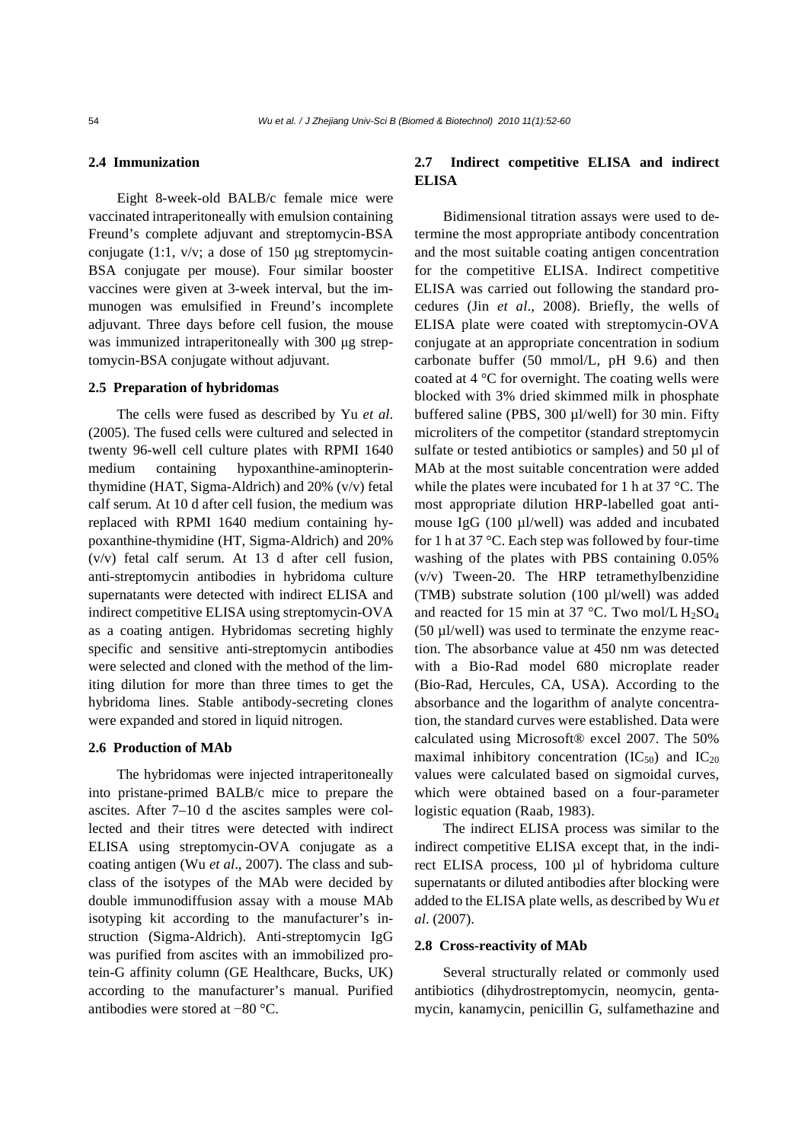## **2.4 Immunization**

Eight 8-week-old BALB/c female mice were vaccinated intraperitoneally with emulsion containing Freund's complete adjuvant and streptomycin-BSA conjugate (1:1, v/v; a dose of 150 μg streptomycin-BSA conjugate per mouse). Four similar booster vaccines were given at 3-week interval, but the immunogen was emulsified in Freund's incomplete adjuvant. Three days before cell fusion, the mouse was immunized intraperitoneally with 300 μg streptomycin-BSA conjugate without adjuvant.

#### **2.5 Preparation of hybridomas**

The cells were fused as described by Yu *et al*. (2005). The fused cells were cultured and selected in twenty 96-well cell culture plates with RPMI 1640 medium containing hypoxanthine-aminopterinthymidine (HAT, Sigma-Aldrich) and 20% (v/v) fetal calf serum. At 10 d after cell fusion, the medium was replaced with RPMI 1640 medium containing hypoxanthine-thymidine (HT, Sigma-Aldrich) and 20% (v/v) fetal calf serum. At 13 d after cell fusion, anti-streptomycin antibodies in hybridoma culture supernatants were detected with indirect ELISA and indirect competitive ELISA using streptomycin-OVA as a coating antigen. Hybridomas secreting highly specific and sensitive anti-streptomycin antibodies were selected and cloned with the method of the limiting dilution for more than three times to get the hybridoma lines. Stable antibody-secreting clones were expanded and stored in liquid nitrogen.

#### **2.6 Production of MAb**

The hybridomas were injected intraperitoneally into pristane-primed BALB/c mice to prepare the ascites. After 7–10 d the ascites samples were collected and their titres were detected with indirect ELISA using streptomycin-OVA conjugate as a coating antigen (Wu *et al*., 2007). The class and subclass of the isotypes of the MAb were decided by double immunodiffusion assay with a mouse MAb isotyping kit according to the manufacturer's instruction (Sigma-Aldrich). Anti-streptomycin IgG was purified from ascites with an immobilized protein-G affinity column (GE Healthcare, Bucks, UK) according to the manufacturer's manual. Purified antibodies were stored at −80 °C.

# **2.7 Indirect competitive ELISA and indirect ELISA**

Bidimensional titration assays were used to determine the most appropriate antibody concentration and the most suitable coating antigen concentration for the competitive ELISA. Indirect competitive ELISA was carried out following the standard procedures (Jin *et al*., 2008). Briefly, the wells of ELISA plate were coated with streptomycin-OVA conjugate at an appropriate concentration in sodium carbonate buffer (50 mmol/L, pH 9.6) and then coated at 4 °C for overnight. The coating wells were blocked with 3% dried skimmed milk in phosphate buffered saline (PBS, 300 µl/well) for 30 min. Fifty microliters of the competitor (standard streptomycin sulfate or tested antibiotics or samples) and 50 µl of MAb at the most suitable concentration were added while the plates were incubated for 1 h at 37 °C. The most appropriate dilution HRP-labelled goat antimouse IgG (100 µl/well) was added and incubated for 1 h at 37 °C. Each step was followed by four-time washing of the plates with PBS containing 0.05% (v/v) Tween-20. The HRP tetramethylbenzidine (TMB) substrate solution (100 µl/well) was added and reacted for 15 min at 37 °C. Two mol/L  $H_2SO_4$ (50 µl/well) was used to terminate the enzyme reaction. The absorbance value at 450 nm was detected with a Bio-Rad model 680 microplate reader (Bio-Rad, Hercules, CA, USA). According to the absorbance and the logarithm of analyte concentration, the standard curves were established. Data were calculated using Microsoft® excel 2007. The 50% maximal inhibitory concentration  $(IC_{50})$  and  $IC_{20}$ values were calculated based on sigmoidal curves, which were obtained based on a four-parameter logistic equation (Raab, 1983).

The indirect ELISA process was similar to the indirect competitive ELISA except that, in the indirect ELISA process, 100 µl of hybridoma culture supernatants or diluted antibodies after blocking were added to the ELISA plate wells, as described by Wu *et al*. (2007).

#### **2.8 Cross-reactivity of MAb**

Several structurally related or commonly used antibiotics (dihydrostreptomycin, neomycin, gentamycin, kanamycin, penicillin G, sulfamethazine and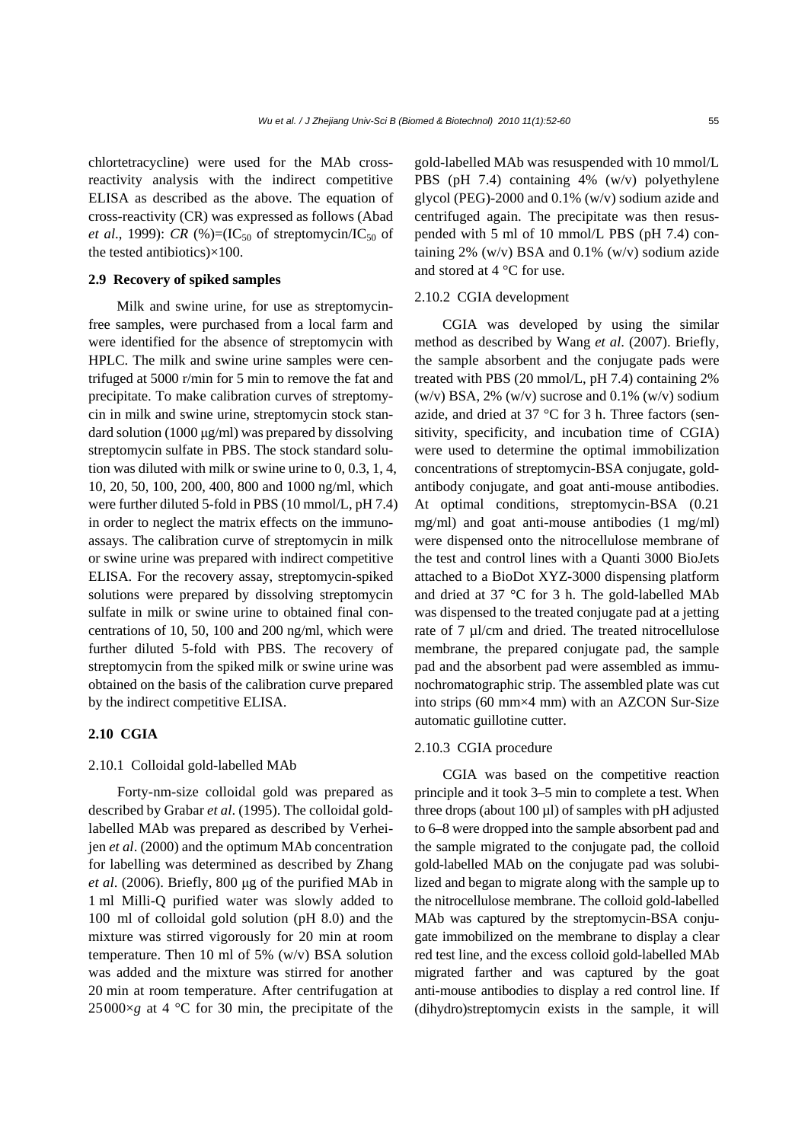chlortetracycline) were used for the MAb crossreactivity analysis with the indirect competitive ELISA as described as the above. The equation of cross-reactivity (CR) was expressed as follows (Abad *et al.*, 1999): *CR* (%)=(IC<sub>50</sub> of streptomycin/IC<sub>50</sub> of the tested antibiotics)×100.

# **2.9 Recovery of spiked samples**

Milk and swine urine, for use as streptomycinfree samples, were purchased from a local farm and were identified for the absence of streptomycin with HPLC. The milk and swine urine samples were centrifuged at 5000 r/min for 5 min to remove the fat and precipitate. To make calibration curves of streptomycin in milk and swine urine, streptomycin stock standard solution (1000 μg/ml) was prepared by dissolving streptomycin sulfate in PBS. The stock standard solution was diluted with milk or swine urine to 0, 0.3, 1, 4, 10, 20, 50, 100, 200, 400, 800 and 1000 ng/ml, which were further diluted 5-fold in PBS (10 mmol/L, pH 7.4) in order to neglect the matrix effects on the immunoassays. The calibration curve of streptomycin in milk or swine urine was prepared with indirect competitive ELISA. For the recovery assay, streptomycin-spiked solutions were prepared by dissolving streptomycin sulfate in milk or swine urine to obtained final concentrations of 10, 50, 100 and 200 ng/ml, which were further diluted 5-fold with PBS. The recovery of streptomycin from the spiked milk or swine urine was obtained on the basis of the calibration curve prepared by the indirect competitive ELISA.

# **2.10 CGIA**

# 2.10.1 Colloidal gold-labelled MAb

Forty-nm-size colloidal gold was prepared as described by Grabar *et al*. (1995). The colloidal goldlabelled MAb was prepared as described by Verheijen *et al*. (2000) and the optimum MAb concentration for labelling was determined as described by Zhang *et al*. (2006). Briefly, 800 μg of the purified MAb in 1 ml Milli-Q purified water was slowly added to 100 ml of colloidal gold solution (pH 8.0) and the mixture was stirred vigorously for 20 min at room temperature. Then 10 ml of 5%  $(w/v)$  BSA solution was added and the mixture was stirred for another 20 min at room temperature. After centrifugation at  $25000\times g$  at 4 °C for 30 min, the precipitate of the

gold-labelled MAb was resuspended with 10 mmol/L PBS (pH 7.4) containing 4% (w/v) polyethylene glycol (PEG)-2000 and 0.1% (w/v) sodium azide and centrifuged again. The precipitate was then resuspended with 5 ml of 10 mmol/L PBS (pH 7.4) containing  $2\%$  (w/v) BSA and 0.1% (w/v) sodium azide and stored at 4 °C for use.

#### 2.10.2 CGIA development

CGIA was developed by using the similar method as described by Wang *et al*. (2007). Briefly, the sample absorbent and the conjugate pads were treated with PBS (20 mmol/L, pH 7.4) containing 2% (w/v) BSA, 2% (w/v) sucrose and 0.1% (w/v) sodium azide, and dried at 37 °C for 3 h. Three factors (sensitivity, specificity, and incubation time of CGIA) were used to determine the optimal immobilization concentrations of streptomycin-BSA conjugate, goldantibody conjugate, and goat anti-mouse antibodies. At optimal conditions, streptomycin-BSA (0.21 mg/ml) and goat anti-mouse antibodies (1 mg/ml) were dispensed onto the nitrocellulose membrane of the test and control lines with a Quanti 3000 BioJets attached to a BioDot XYZ-3000 dispensing platform and dried at 37 °C for 3 h. The gold-labelled MAb was dispensed to the treated conjugate pad at a jetting rate of 7 µl/cm and dried. The treated nitrocellulose membrane, the prepared conjugate pad, the sample pad and the absorbent pad were assembled as immunochromatographic strip. The assembled plate was cut into strips (60 mm×4 mm) with an AZCON Sur-Size automatic guillotine cutter.

## 2.10.3 CGIA procedure

CGIA was based on the competitive reaction principle and it took 3–5 min to complete a test. When three drops (about  $100 \mu$ l) of samples with pH adjusted to 6–8 were dropped into the sample absorbent pad and the sample migrated to the conjugate pad, the colloid gold-labelled MAb on the conjugate pad was solubilized and began to migrate along with the sample up to the nitrocellulose membrane. The colloid gold-labelled MAb was captured by the streptomycin-BSA conjugate immobilized on the membrane to display a clear red test line, and the excess colloid gold-labelled MAb migrated farther and was captured by the goat anti-mouse antibodies to display a red control line. If (dihydro)streptomycin exists in the sample, it will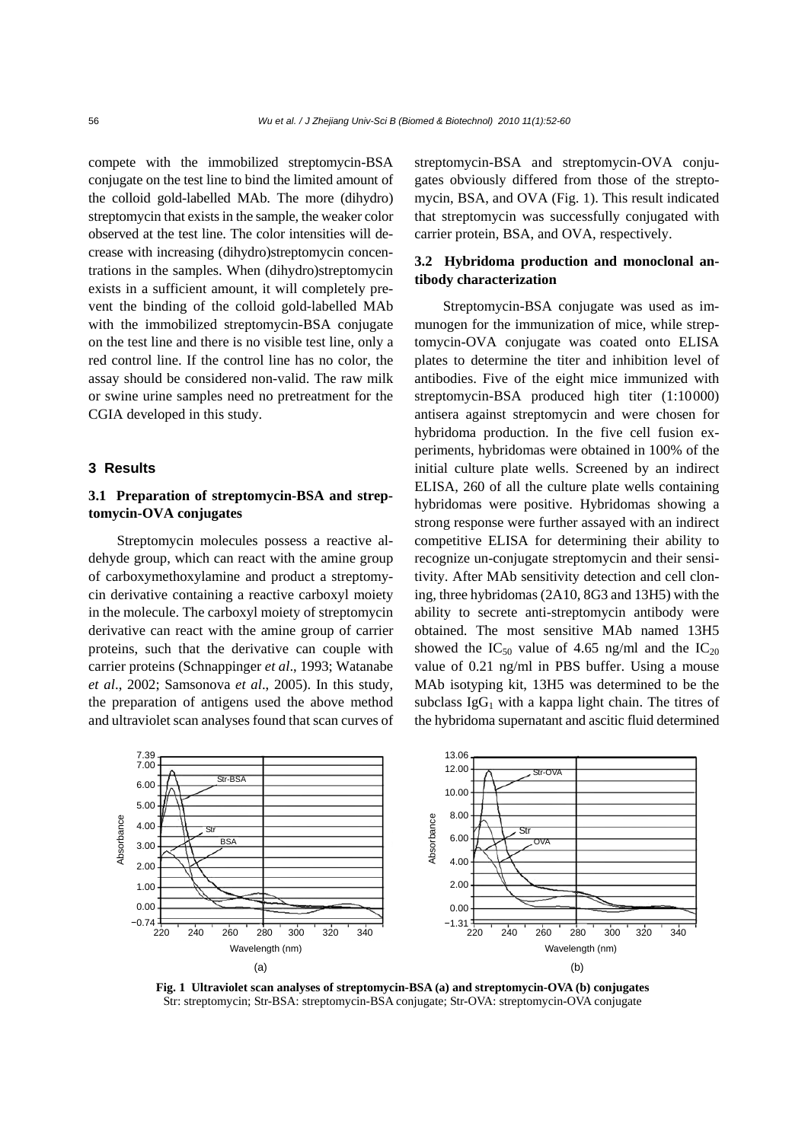compete with the immobilized streptomycin-BSA conjugate on the test line to bind the limited amount of the colloid gold-labelled MAb. The more (dihydro) streptomycin that exists in the sample, the weaker color observed at the test line. The color intensities will decrease with increasing (dihydro)streptomycin concentrations in the samples. When (dihydro)streptomycin exists in a sufficient amount, it will completely prevent the binding of the colloid gold-labelled MAb with the immobilized streptomycin-BSA conjugate on the test line and there is no visible test line, only a red control line. If the control line has no color, the assay should be considered non-valid. The raw milk or swine urine samples need no pretreatment for the CGIA developed in this study.

# **3 Results**

# **3.1 Preparation of streptomycin-BSA and streptomycin-OVA conjugates**

Streptomycin molecules possess a reactive aldehyde group, which can react with the amine group of carboxymethoxylamine and product a streptomycin derivative containing a reactive carboxyl moiety in the molecule. The carboxyl moiety of streptomycin derivative can react with the amine group of carrier proteins, such that the derivative can couple with carrier proteins (Schnappinger *et al*., 1993; Watanabe *et al*., 2002; Samsonova *et al*., 2005). In this study, the preparation of antigens used the above method and ultraviolet scan analyses found that scan curves of streptomycin-BSA and streptomycin-OVA conjugates obviously differed from those of the streptomycin, BSA, and OVA (Fig. 1). This result indicated that streptomycin was successfully conjugated with carrier protein, BSA, and OVA, respectively.

# **3.2 Hybridoma production and monoclonal antibody characterization**

Streptomycin-BSA conjugate was used as immunogen for the immunization of mice, while streptomycin-OVA conjugate was coated onto ELISA plates to determine the titer and inhibition level of antibodies. Five of the eight mice immunized with streptomycin-BSA produced high titer (1:10000) antisera against streptomycin and were chosen for hybridoma production. In the five cell fusion experiments, hybridomas were obtained in 100% of the initial culture plate wells. Screened by an indirect ELISA, 260 of all the culture plate wells containing hybridomas were positive. Hybridomas showing a strong response were further assayed with an indirect competitive ELISA for determining their ability to recognize un-conjugate streptomycin and their sensitivity. After MAb sensitivity detection and cell cloning, three hybridomas (2A10, 8G3 and 13H5) with the ability to secrete anti-streptomycin antibody were obtained. The most sensitive MAb named 13H5 showed the IC<sub>50</sub> value of 4.65 ng/ml and the IC<sub>20</sub> value of 0.21 ng/ml in PBS buffer. Using a mouse MAb isotyping kit, 13H5 was determined to be the subclass  $IgG<sub>1</sub>$  with a kappa light chain. The titres of the hybridoma supernatant and ascitic fluid determined



**Fig. 1 Ultraviolet scan analyses of streptomycin-BSA (a) and streptomycin-OVA (b) conjugates**  Str: streptomycin; Str-BSA: streptomycin-BSA conjugate; Str-OVA: streptomycin-OVA conjugate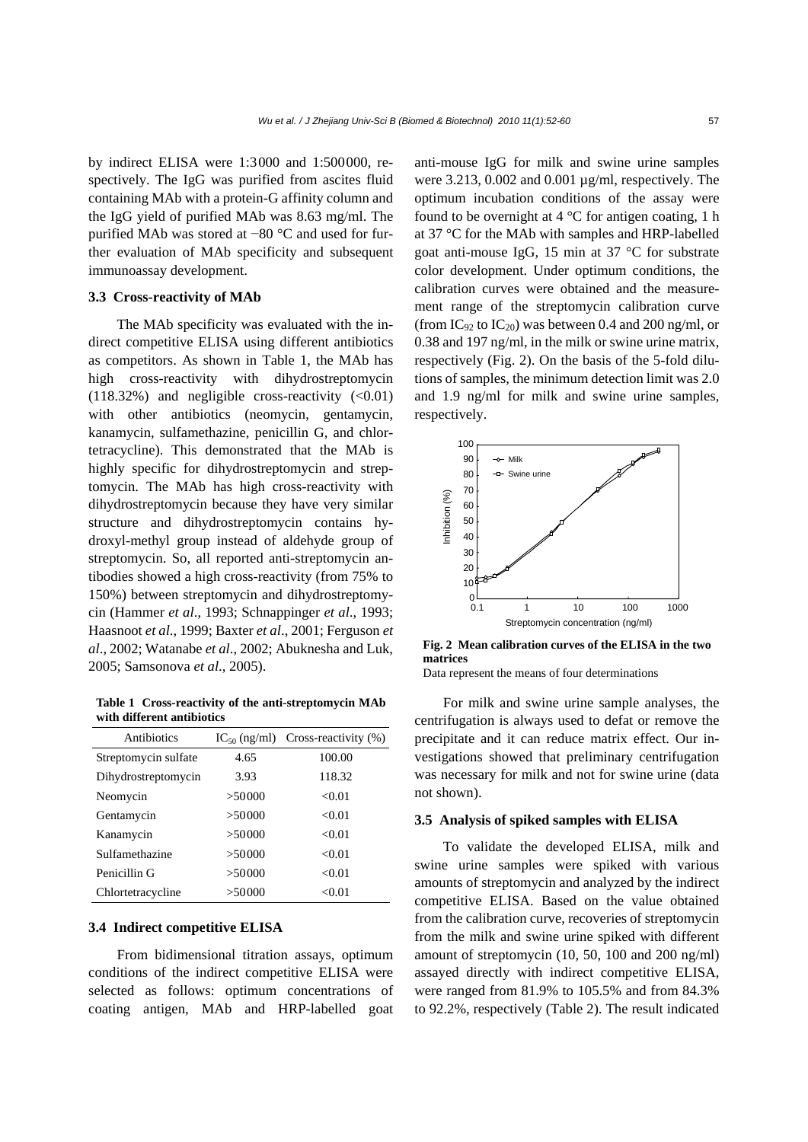by indirect ELISA were 1:3000 and 1:500000, respectively. The IgG was purified from ascites fluid containing MAb with a protein-G affinity column and the IgG yield of purified MAb was 8.63 mg/ml. The purified MAb was stored at −80 °C and used for further evaluation of MAb specificity and subsequent immunoassay development.

## **3.3 Cross-reactivity of MAb**

The MAb specificity was evaluated with the indirect competitive ELISA using different antibiotics as competitors. As shown in Table 1, the MAb has high cross-reactivity with dihydrostreptomycin  $(118.32\%)$  and negligible cross-reactivity  $(<0.01)$ with other antibiotics (neomycin, gentamycin, kanamycin, sulfamethazine, penicillin G, and chlortetracycline). This demonstrated that the MAb is highly specific for dihydrostreptomycin and streptomycin. The MAb has high cross-reactivity with dihydrostreptomycin because they have very similar structure and dihydrostreptomycin contains hydroxyl-methyl group instead of aldehyde group of streptomycin. So, all reported anti-streptomycin antibodies showed a high cross-reactivity (from 75% to 150%) between streptomycin and dihydrostreptomycin (Hammer *et al*., 1993; Schnappinger *et al*., 1993; Haasnoot *et al*., 1999; Baxter *et al*., 2001; Ferguson *et al*., 2002; Watanabe *et al*., 2002; Abuknesha and Luk, 2005; Samsonova *et al*., 2005).

**Table 1 Cross-reactivity of the anti-streptomycin MAb with different antibiotics**

| Antibiotics          |        | $IC_{50}$ (ng/ml) Cross-reactivity (%) |
|----------------------|--------|----------------------------------------|
| Streptomycin sulfate | 4.65   | 100.00                                 |
| Dihydrostreptomycin  | 3.93   | 118.32                                 |
| Neomycin             | >50000 | < 0.01                                 |
| Gentamycin           | >50000 | < 0.01                                 |
| Kanamycin            | >50000 | < 0.01                                 |
| Sulfamethazine       | >50000 | < 0.01                                 |
| Penicillin G         | >50000 | < 0.01                                 |
| Chlortetracycline    | >50000 | < 0.01                                 |

## **3.4 Indirect competitive ELISA**

From bidimensional titration assays, optimum conditions of the indirect competitive ELISA were selected as follows: optimum concentrations of coating antigen, MAb and HRP-labelled goat anti-mouse IgG for milk and swine urine samples were 3.213, 0.002 and 0.001 µg/ml, respectively. The optimum incubation conditions of the assay were found to be overnight at  $4^{\circ}$ C for antigen coating, 1 h at 37 °C for the MAb with samples and HRP-labelled goat anti-mouse IgG, 15 min at 37 °C for substrate color development. Under optimum conditions, the calibration curves were obtained and the measurement range of the streptomycin calibration curve (from  $IC_{92}$  to  $IC_{20}$ ) was between 0.4 and 200 ng/ml, or 0.38 and 197 ng/ml, in the milk or swine urine matrix, respectively (Fig. 2). On the basis of the 5-fold dilutions of samples, the minimum detection limit was 2.0 and 1.9 ng/ml for milk and swine urine samples, respectively.



**Fig. 2 Mean calibration curves of the ELISA in the two matrices** 

Data represent the means of four determinations

For milk and swine urine sample analyses, the centrifugation is always used to defat or remove the precipitate and it can reduce matrix effect. Our investigations showed that preliminary centrifugation was necessary for milk and not for swine urine (data not shown).

#### **3.5 Analysis of spiked samples with ELISA**

To validate the developed ELISA, milk and swine urine samples were spiked with various amounts of streptomycin and analyzed by the indirect competitive ELISA. Based on the value obtained from the calibration curve, recoveries of streptomycin from the milk and swine urine spiked with different amount of streptomycin (10, 50, 100 and 200 ng/ml) assayed directly with indirect competitive ELISA, were ranged from 81.9% to 105.5% and from 84.3% to 92.2%, respectively (Table 2). The result indicated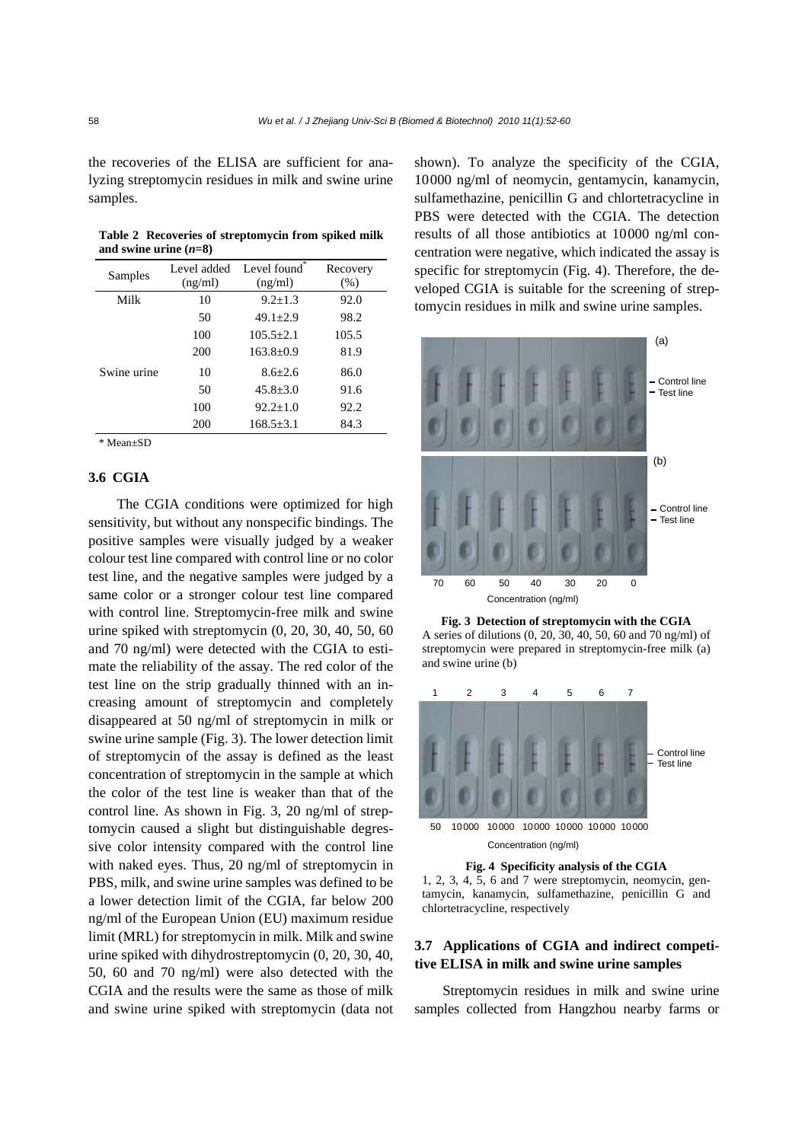the recoveries of the ELISA are sufficient for analyzing streptomycin residues in milk and swine urine samples.

| Table 2 Recoveries of streptomycin from spiked milk |  |  |
|-----------------------------------------------------|--|--|
| and swine urine $(n=8)$                             |  |  |

| Samples     | Level added | Level found*    | Recovery |
|-------------|-------------|-----------------|----------|
|             | (ng/ml)     | (ng/ml)         | (% )     |
| Milk        | 10          | $9.2 \pm 1.3$   | 92.0     |
|             | 50          | $49.1 + 2.9$    | 98.2     |
|             | 100         | $105.5 + 2.1$   | 105.5    |
|             | 200         | $163.8 + 0.9$   | 81.9     |
| Swine urine | 10          | $8.6 + 2.6$     | 86.0     |
|             | 50          | $45.8 + 3.0$    | 91.6     |
|             | 100         | $92.2+1.0$      | 92.2     |
|             | 200         | $168.5 \pm 3.1$ | 84.3     |
|             |             |                 |          |

\* Mean±SD

## **3.6 CGIA**

The CGIA conditions were optimized for high sensitivity, but without any nonspecific bindings. The positive samples were visually judged by a weaker colour test line compared with control line or no color test line, and the negative samples were judged by a same color or a stronger colour test line compared with control line. Streptomycin-free milk and swine urine spiked with streptomycin (0, 20, 30, 40, 50, 60 and 70 ng/ml) were detected with the CGIA to estimate the reliability of the assay. The red color of the test line on the strip gradually thinned with an increasing amount of streptomycin and completely disappeared at 50 ng/ml of streptomycin in milk or swine urine sample (Fig. 3). The lower detection limit of streptomycin of the assay is defined as the least concentration of streptomycin in the sample at which the color of the test line is weaker than that of the control line. As shown in Fig. 3, 20 ng/ml of streptomycin caused a slight but distinguishable degressive color intensity compared with the control line with naked eyes. Thus, 20 ng/ml of streptomycin in PBS, milk, and swine urine samples was defined to be a lower detection limit of the CGIA, far below 200 ng/ml of the European Union (EU) maximum residue limit (MRL) for streptomycin in milk. Milk and swine urine spiked with dihydrostreptomycin (0, 20, 30, 40, 50, 60 and 70 ng/ml) were also detected with the CGIA and the results were the same as those of milk and swine urine spiked with streptomycin (data not shown). To analyze the specificity of the CGIA, 10000 ng/ml of neomycin, gentamycin, kanamycin, sulfamethazine, penicillin G and chlortetracycline in PBS were detected with the CGIA. The detection results of all those antibiotics at 10000 ng/ml concentration were negative, which indicated the assay is specific for streptomycin (Fig. 4). Therefore, the developed CGIA is suitable for the screening of streptomycin residues in milk and swine urine samples.





and swine urine (b)



1, 2, 3, 4, 5, 6 and 7 were streptomycin, neomycin, gentamycin, kanamycin, sulfamethazine, penicillin G and chlortetracycline, respectively

# **3.7 Applications of CGIA and indirect competitive ELISA in milk and swine urine samples**

Streptomycin residues in milk and swine urine samples collected from Hangzhou nearby farms or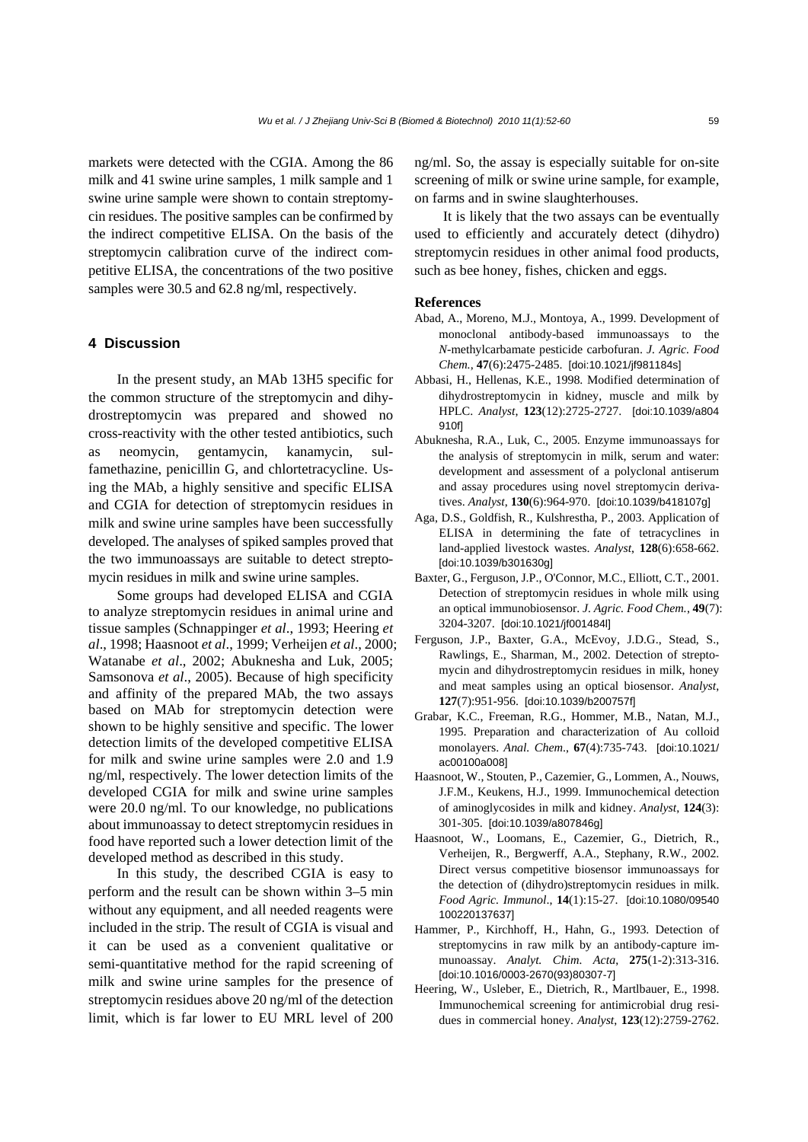markets were detected with the CGIA. Among the 86 milk and 41 swine urine samples, 1 milk sample and 1 swine urine sample were shown to contain streptomycin residues. The positive samples can be confirmed by the indirect competitive ELISA. On the basis of the streptomycin calibration curve of the indirect competitive ELISA, the concentrations of the two positive samples were 30.5 and 62.8 ng/ml, respectively.

## **4 Discussion**

In the present study, an MAb 13H5 specific for the common structure of the streptomycin and dihydrostreptomycin was prepared and showed no cross-reactivity with the other tested antibiotics, such as neomycin, gentamycin, kanamycin, sulfamethazine, penicillin G, and chlortetracycline. Using the MAb, a highly sensitive and specific ELISA and CGIA for detection of streptomycin residues in milk and swine urine samples have been successfully developed. The analyses of spiked samples proved that the two immunoassays are suitable to detect streptomycin residues in milk and swine urine samples.

Some groups had developed ELISA and CGIA to analyze streptomycin residues in animal urine and tissue samples (Schnappinger *et al*., 1993; Heering *et al*., 1998; Haasnoot *et al*., 1999; Verheijen *et al*., 2000; Watanabe *et al*., 2002; Abuknesha and Luk, 2005; Samsonova *et al*., 2005). Because of high specificity and affinity of the prepared MAb, the two assays based on MAb for streptomycin detection were shown to be highly sensitive and specific. The lower detection limits of the developed competitive ELISA for milk and swine urine samples were 2.0 and 1.9 ng/ml, respectively. The lower detection limits of the developed CGIA for milk and swine urine samples were 20.0 ng/ml. To our knowledge, no publications about immunoassay to detect streptomycin residues in food have reported such a lower detection limit of the developed method as described in this study.

In this study, the described CGIA is easy to perform and the result can be shown within 3–5 min without any equipment, and all needed reagents were included in the strip. The result of CGIA is visual and it can be used as a convenient qualitative or semi-quantitative method for the rapid screening of milk and swine urine samples for the presence of streptomycin residues above 20 ng/ml of the detection limit, which is far lower to EU MRL level of 200 ng/ml. So, the assay is especially suitable for on-site screening of milk or swine urine sample, for example, on farms and in swine slaughterhouses.

It is likely that the two assays can be eventually used to efficiently and accurately detect (dihydro) streptomycin residues in other animal food products, such as bee honey, fishes, chicken and eggs.

#### **References**

- Abad, A., Moreno, M.J., Montoya, A., 1999. Development of monoclonal antibody-based immunoassays to the *N*-methylcarbamate pesticide carbofuran. *J. Agric. Food Chem.*, **47**(6):2475-2485. [doi:10.1021/jf981184s]
- Abbasi, H., Hellenas, K.E., 1998. Modified determination of dihydrostreptomycin in kidney, muscle and milk by HPLC. *Analyst*, **123**(12):2725-2727. [doi:10.1039/a804 910f]
- Abuknesha, R.A., Luk, C., 2005. Enzyme immunoassays for the analysis of streptomycin in milk, serum and water: development and assessment of a polyclonal antiserum and assay procedures using novel streptomycin derivatives. *Analyst*, **130**(6):964-970. [doi:10.1039/b418107g]
- Aga, D.S., Goldfish, R., Kulshrestha, P., 2003. Application of ELISA in determining the fate of tetracyclines in land-applied livestock wastes. *Analyst*, **128**(6):658-662. [doi:10.1039/b301630g]
- Baxter, G., Ferguson, J.P., O'Connor, M.C., Elliott, C.T., 2001. Detection of streptomycin residues in whole milk using an optical immunobiosensor. *J. Agric. Food Chem.*, **49**(7): 3204-3207. [doi:10.1021/jf001484l]
- Ferguson, J.P., Baxter, G.A., McEvoy, J.D.G., Stead, S., Rawlings, E., Sharman, M., 2002. Detection of streptomycin and dihydrostreptomycin residues in milk, honey and meat samples using an optical biosensor. *Analyst*, **127**(7):951-956. [doi:10.1039/b200757f]
- Grabar, K.C., Freeman, R.G., Hommer, M.B., Natan, M.J., 1995. Preparation and characterization of Au colloid monolayers. *Anal. Chem*., **67**(4):735-743. [doi:10.1021/ ac00100a008]
- Haasnoot, W., Stouten, P., Cazemier, G., Lommen, A., Nouws, J.F.M., Keukens, H.J., 1999. Immunochemical detection of aminoglycosides in milk and kidney. *Analyst*, **124**(3): 301-305. [doi:10.1039/a807846g]
- Haasnoot, W., Loomans, E., Cazemier, G., Dietrich, R., Verheijen, R., Bergwerff, A.A., Stephany, R.W., 2002. Direct versus competitive biosensor immunoassays for the detection of (dihydro)streptomycin residues in milk. *Food Agric. Immunol*., **14**(1):15-27. [doi:10.1080/09540 100220137637]
- Hammer, P., Kirchhoff, H., Hahn, G., 1993. Detection of streptomycins in raw milk by an antibody-capture immunoassay. *Analyt. Chim. Acta*, **275**(1-2):313-316. [doi:10.1016/0003-2670(93)80307-7]
- Heering, W., Usleber, E., Dietrich, R., Martlbauer, E., 1998. Immunochemical screening for antimicrobial drug residues in commercial honey. *Analyst*, **123**(12):2759-2762.